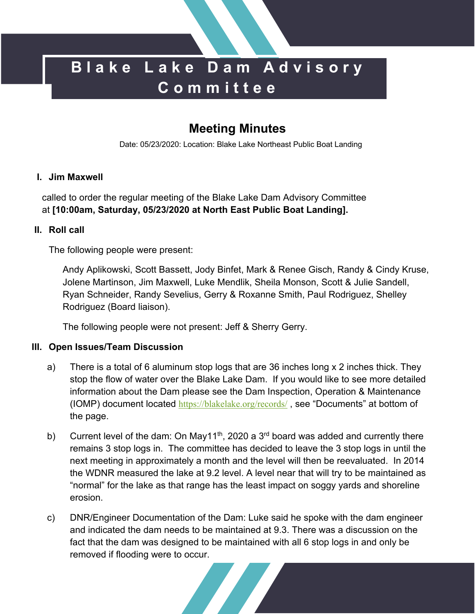# **Blake Lake Dam Advisory Committee**

# **Meeting Minutes**

Date: 05/23/2020: Location: Blake Lake Northeast Public Boat Landing

#### **I. Jim Maxwell**

called to order the regular meeting of the Blake Lake Dam Advisory Committee at **[10:00am, Saturday, 05/23/2020 at North East Public Boat Landing].**

#### **II. Roll call**

The following people were present:

Andy Aplikowski, Scott Bassett, Jody Binfet, Mark & Renee Gisch, Randy & Cindy Kruse, Jolene Martinson, Jim Maxwell, Luke Mendlik, Sheila Monson, Scott & Julie Sandell, Ryan Schneider, Randy Sevelius, Gerry & Roxanne Smith, Paul Rodriguez, Shelley Rodriguez (Board liaison).

The following people were not present: Jeff & Sherry Gerry.

## **III. Open Issues/Team Discussion**

- a) There is a total of 6 aluminum stop logs that are 36 inches long x 2 inches thick. They stop the flow of water over the Blake Lake Dam. If you would like to see more detailed information about the Dam please see the Dam Inspection, Operation & Maintenance (IOMP) document located https://blakelake.org/records/, see "Documents" at bottom of the page.
- b) Current level of the dam: On May11<sup>th</sup>, 2020 a 3<sup>rd</sup> board was added and currently there remains 3 stop logs in. The committee has decided to leave the 3 stop logs in until the next meeting in approximately a month and the level will then be reevaluated. In 2014 the WDNR measured the lake at 9.2 level. A level near that will try to be maintained as "normal" for the lake as that range has the least impact on soggy yards and shoreline erosion.
- c) DNR/Engineer Documentation of the Dam: Luke said he spoke with the dam engineer and indicated the dam needs to be maintained at 9.3. There was a discussion on the fact that the dam was designed to be maintained with all 6 stop logs in and only be removed if flooding were to occur.

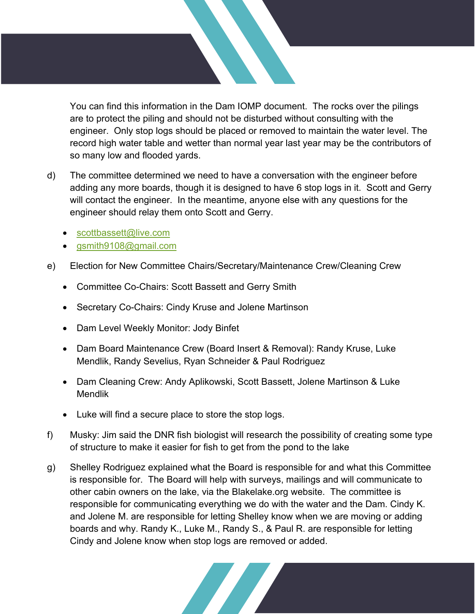You can find this information in the Dam IOMP document. The rocks over the pilings are to protect the piling and should not be disturbed without consulting with the engineer. Only stop logs should be placed or removed to maintain the water level. The record high water table and wetter than normal year last year may be the contributors of so many low and flooded yards.

- d) The committee determined we need to have a conversation with the engineer before adding any more boards, though it is designed to have 6 stop logs in it. Scott and Gerry will contact the engineer. In the meantime, anyone else with any questions for the engineer should relay them onto Scott and Gerry.
	- scottbassett@live.com
	- gsmith9108@gmail.com
- e) Election for New Committee Chairs/Secretary/Maintenance Crew/Cleaning Crew
	- Committee Co-Chairs: Scott Bassett and Gerry Smith
	- Secretary Co-Chairs: Cindy Kruse and Jolene Martinson
	- Dam Level Weekly Monitor: Jody Binfet
	- Dam Board Maintenance Crew (Board Insert & Removal): Randy Kruse, Luke Mendlik, Randy Sevelius, Ryan Schneider & Paul Rodriguez
	- Dam Cleaning Crew: Andy Aplikowski, Scott Bassett, Jolene Martinson & Luke Mendlik
	- Luke will find a secure place to store the stop logs.
- f) Musky: Jim said the DNR fish biologist will research the possibility of creating some type of structure to make it easier for fish to get from the pond to the lake
- g) Shelley Rodriguez explained what the Board is responsible for and what this Committee is responsible for. The Board will help with surveys, mailings and will communicate to other cabin owners on the lake, via the Blakelake.org website. The committee is responsible for communicating everything we do with the water and the Dam. Cindy K. and Jolene M. are responsible for letting Shelley know when we are moving or adding boards and why. Randy K., Luke M., Randy S., & Paul R. are responsible for letting Cindy and Jolene know when stop logs are removed or added.